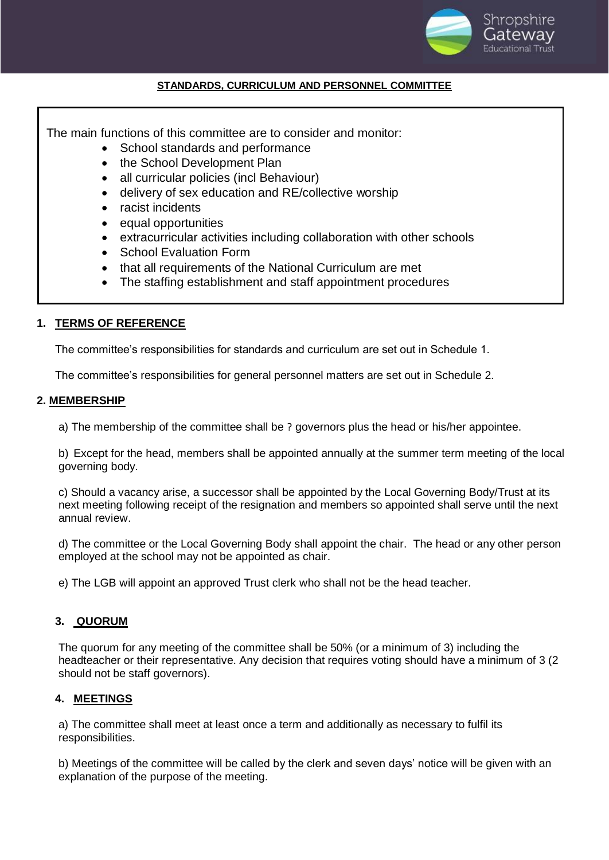

## **STANDARDS, CURRICULUM AND PERSONNEL COMMITTEE**

The main functions of this committee are to consider and monitor:

- School standards and performance
- the School Development Plan
- all curricular policies (incl Behaviour)
- delivery of sex education and RE/collective worship
- racist incidents
- equal opportunities
- extracurricular activities including collaboration with other schools
- School Evaluation Form
- that all requirements of the National Curriculum are met
- The staffing establishment and staff appointment procedures

## **1. TERMS OF REFERENCE**

The committee's responsibilities for standards and curriculum are set out in Schedule 1.

The committee's responsibilities for general personnel matters are set out in Schedule 2.

### **2. MEMBERSHIP**

a) The membership of the committee shall be ? governors plus the head or his/her appointee.

b) Except for the head, members shall be appointed annually at the summer term meeting of the local governing body.

c) Should a vacancy arise, a successor shall be appointed by the Local Governing Body/Trust at its next meeting following receipt of the resignation and members so appointed shall serve until the next annual review.

d) The committee or the Local Governing Body shall appoint the chair. The head or any other person employed at the school may not be appointed as chair.

e) The LGB will appoint an approved Trust clerk who shall not be the head teacher.

# **3. QUORUM**

The quorum for any meeting of the committee shall be 50% (or a minimum of 3) including the headteacher or their representative. Any decision that requires voting should have a minimum of 3 (2 should not be staff governors).

# **4. MEETINGS**

a) The committee shall meet at least once a term and additionally as necessary to fulfil its responsibilities.

b) Meetings of the committee will be called by the clerk and seven days' notice will be given with an explanation of the purpose of the meeting.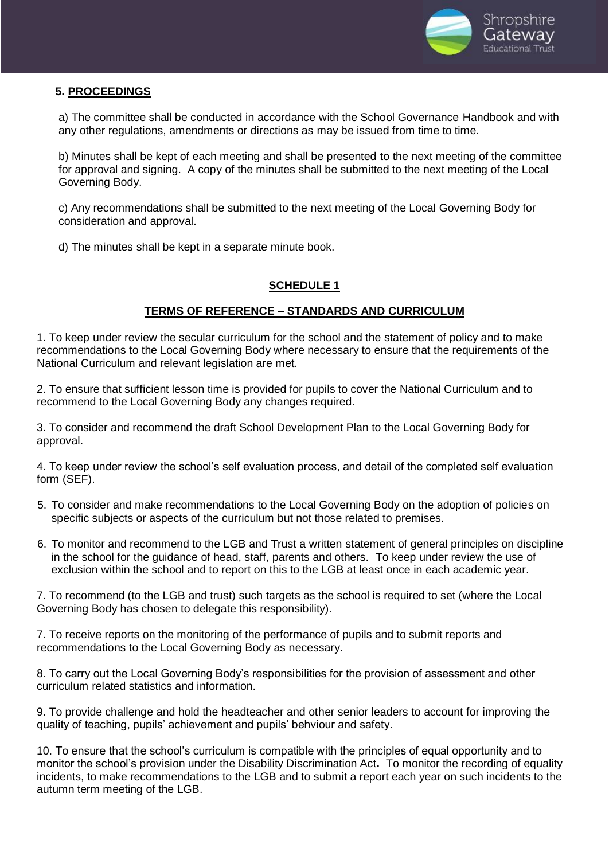

# **5. PROCEEDINGS**

a) The committee shall be conducted in accordance with the School Governance Handbook and with any other regulations, amendments or directions as may be issued from time to time.

b) Minutes shall be kept of each meeting and shall be presented to the next meeting of the committee for approval and signing. A copy of the minutes shall be submitted to the next meeting of the Local Governing Body.

c) Any recommendations shall be submitted to the next meeting of the Local Governing Body for consideration and approval.

d) The minutes shall be kept in a separate minute book.

### **SCHEDULE 1**

## **TERMS OF REFERENCE – STANDARDS AND CURRICULUM**

1. To keep under review the secular curriculum for the school and the statement of policy and to make recommendations to the Local Governing Body where necessary to ensure that the requirements of the National Curriculum and relevant legislation are met.

2. To ensure that sufficient lesson time is provided for pupils to cover the National Curriculum and to recommend to the Local Governing Body any changes required.

3. To consider and recommend the draft School Development Plan to the Local Governing Body for approval.

4. To keep under review the school's self evaluation process, and detail of the completed self evaluation form (SEF).

- 5. To consider and make recommendations to the Local Governing Body on the adoption of policies on specific subjects or aspects of the curriculum but not those related to premises.
- 6. To monitor and recommend to the LGB and Trust a written statement of general principles on discipline in the school for the guidance of head, staff, parents and others. To keep under review the use of exclusion within the school and to report on this to the LGB at least once in each academic year.

7. To recommend (to the LGB and trust) such targets as the school is required to set (where the Local Governing Body has chosen to delegate this responsibility).

7. To receive reports on the monitoring of the performance of pupils and to submit reports and recommendations to the Local Governing Body as necessary.

8. To carry out the Local Governing Body's responsibilities for the provision of assessment and other curriculum related statistics and information.

9. To provide challenge and hold the headteacher and other senior leaders to account for improving the quality of teaching, pupils' achievement and pupils' behviour and safety.

10. To ensure that the school's curriculum is compatible with the principles of equal opportunity and to monitor the school's provision under the Disability Discrimination Act**.** To monitor the recording of equality incidents, to make recommendations to the LGB and to submit a report each year on such incidents to the autumn term meeting of the LGB.